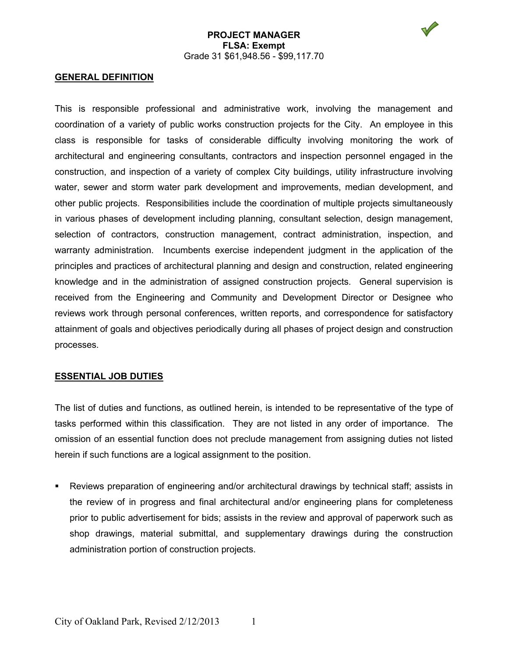

#### **GENERAL DEFINITION**

This is responsible professional and administrative work, involving the management and coordination of a variety of public works construction projects for the City. An employee in this class is responsible for tasks of considerable difficulty involving monitoring the work of architectural and engineering consultants, contractors and inspection personnel engaged in the construction, and inspection of a variety of complex City buildings, utility infrastructure involving water, sewer and storm water park development and improvements, median development, and other public projects. Responsibilities include the coordination of multiple projects simultaneously in various phases of development including planning, consultant selection, design management, selection of contractors, construction management, contract administration, inspection, and warranty administration. Incumbents exercise independent judgment in the application of the principles and practices of architectural planning and design and construction, related engineering knowledge and in the administration of assigned construction projects. General supervision is received from the Engineering and Community and Development Director or Designee who reviews work through personal conferences, written reports, and correspondence for satisfactory attainment of goals and objectives periodically during all phases of project design and construction processes.

#### **ESSENTIAL JOB DUTIES**

The list of duties and functions, as outlined herein, is intended to be representative of the type of tasks performed within this classification. They are not listed in any order of importance. The omission of an essential function does not preclude management from assigning duties not listed herein if such functions are a logical assignment to the position.

 Reviews preparation of engineering and/or architectural drawings by technical staff; assists in the review of in progress and final architectural and/or engineering plans for completeness prior to public advertisement for bids; assists in the review and approval of paperwork such as shop drawings, material submittal, and supplementary drawings during the construction administration portion of construction projects.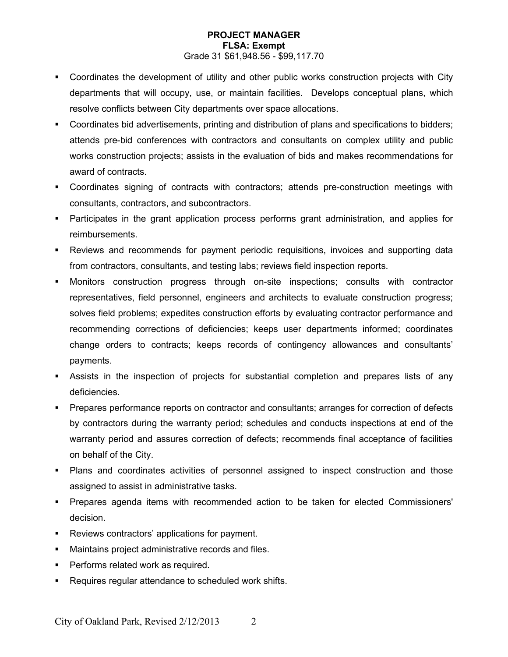- Coordinates the development of utility and other public works construction projects with City departments that will occupy, use, or maintain facilities. Develops conceptual plans, which resolve conflicts between City departments over space allocations.
- Coordinates bid advertisements, printing and distribution of plans and specifications to bidders; attends pre-bid conferences with contractors and consultants on complex utility and public works construction projects; assists in the evaluation of bids and makes recommendations for award of contracts.
- Coordinates signing of contracts with contractors; attends pre-construction meetings with consultants, contractors, and subcontractors.
- Participates in the grant application process performs grant administration, and applies for reimbursements.
- Reviews and recommends for payment periodic requisitions, invoices and supporting data from contractors, consultants, and testing labs; reviews field inspection reports.
- Monitors construction progress through on-site inspections; consults with contractor representatives, field personnel, engineers and architects to evaluate construction progress; solves field problems; expedites construction efforts by evaluating contractor performance and recommending corrections of deficiencies; keeps user departments informed; coordinates change orders to contracts; keeps records of contingency allowances and consultants' payments.
- Assists in the inspection of projects for substantial completion and prepares lists of any deficiencies.
- Prepares performance reports on contractor and consultants; arranges for correction of defects by contractors during the warranty period; schedules and conducts inspections at end of the warranty period and assures correction of defects; recommends final acceptance of facilities on behalf of the City.
- Plans and coordinates activities of personnel assigned to inspect construction and those assigned to assist in administrative tasks.
- **Prepares agenda items with recommended action to be taken for elected Commissioners'** decision.
- **Reviews contractors' applications for payment.**
- Maintains project administrative records and files.
- Performs related work as required.
- **Requires regular attendance to scheduled work shifts.**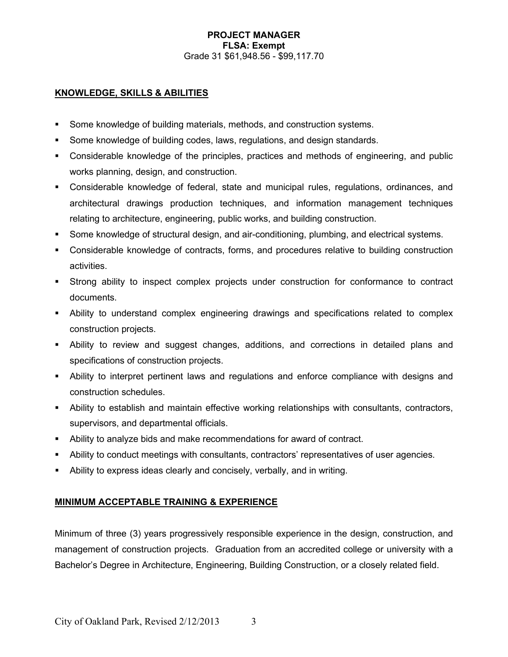## **KNOWLEDGE, SKILLS & ABILITIES**

- Some knowledge of building materials, methods, and construction systems.
- Some knowledge of building codes, laws, regulations, and design standards.
- Considerable knowledge of the principles, practices and methods of engineering, and public works planning, design, and construction.
- Considerable knowledge of federal, state and municipal rules, regulations, ordinances, and architectural drawings production techniques, and information management techniques relating to architecture, engineering, public works, and building construction.
- Some knowledge of structural design, and air-conditioning, plumbing, and electrical systems.
- Considerable knowledge of contracts, forms, and procedures relative to building construction activities.
- Strong ability to inspect complex projects under construction for conformance to contract documents.
- Ability to understand complex engineering drawings and specifications related to complex construction projects.
- Ability to review and suggest changes, additions, and corrections in detailed plans and specifications of construction projects.
- Ability to interpret pertinent laws and regulations and enforce compliance with designs and construction schedules.
- Ability to establish and maintain effective working relationships with consultants, contractors, supervisors, and departmental officials.
- Ability to analyze bids and make recommendations for award of contract.
- Ability to conduct meetings with consultants, contractors' representatives of user agencies.
- Ability to express ideas clearly and concisely, verbally, and in writing.

# **MINIMUM ACCEPTABLE TRAINING & EXPERIENCE**

Minimum of three (3) years progressively responsible experience in the design, construction, and management of construction projects. Graduation from an accredited college or university with a Bachelor's Degree in Architecture, Engineering, Building Construction, or a closely related field.